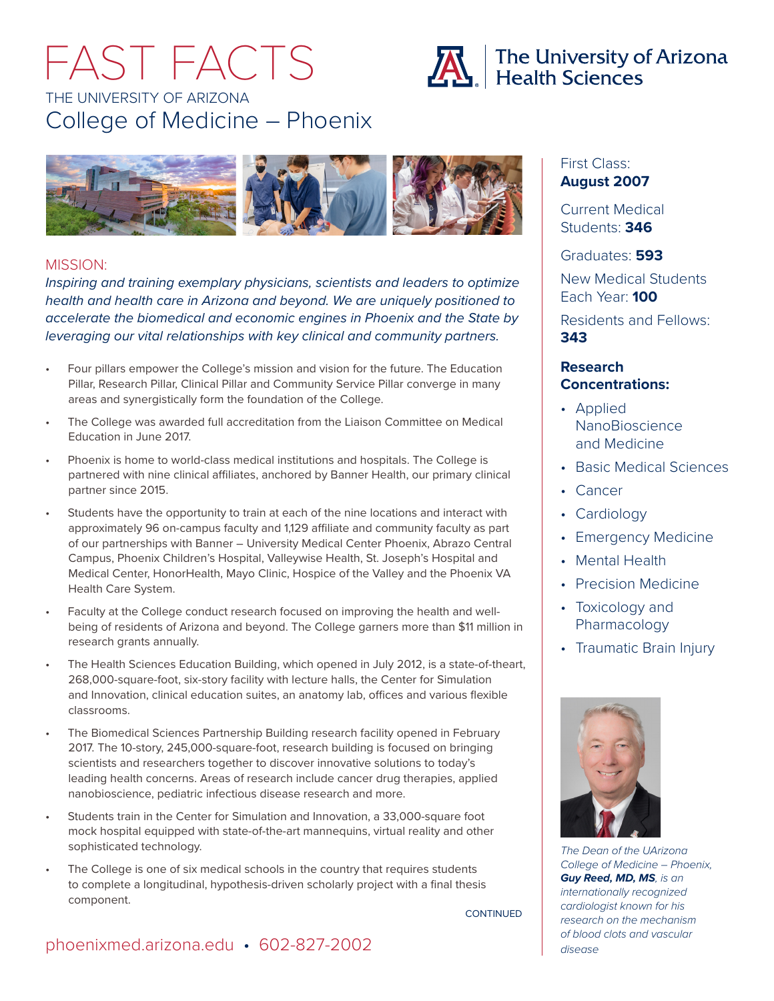# THE UNIVERSITY OF ARIZONA College of Medicine – Phoenix FAST FACTS





### MISSION:

*Inspiring and training exemplary physicians, scientists and leaders to optimize health and health care in Arizona and beyond. We are uniquely positioned to accelerate the biomedical and economic engines in Phoenix and the State by leveraging our vital relationships with key clinical and community partners.* 

- Four pillars empower the College's mission and vision for the future. The Education Pillar, Research Pillar, Clinical Pillar and Community Service Pillar converge in many areas and synergistically form the foundation of the College.
- The College was awarded full accreditation from the Liaison Committee on Medical Education in June 2017.
- Phoenix is home to world-class medical institutions and hospitals. The College is partnered with nine clinical affiliates, anchored by Banner Health, our primary clinical partner since 2015.
- Students have the opportunity to train at each of the nine locations and interact with approximately 96 on-campus faculty and 1,129 affiliate and community faculty as part of our partnerships with Banner – University Medical Center Phoenix, Abrazo Central Campus, Phoenix Children's Hospital, Valleywise Health, St. Joseph's Hospital and Medical Center, HonorHealth, Mayo Clinic, Hospice of the Valley and the Phoenix VA Health Care System.
- Faculty at the College conduct research focused on improving the health and wellbeing of residents of Arizona and beyond. The College garners more than \$11 million in research grants annually.
- The Health Sciences Education Building, which opened in July 2012, is a state-of-theart, 268,000-square-foot, six-story facility with lecture halls, the Center for Simulation and Innovation, clinical education suites, an anatomy lab, offices and various flexible classrooms.
- The Biomedical Sciences Partnership Building research facility opened in February 2017. The 10-story, 245,000-square-foot, research building is focused on bringing scientists and researchers together to discover innovative solutions to today's leading health concerns. Areas of research include cancer drug therapies, applied nanobioscience, pediatric infectious disease research and more.
- Students train in the Center for Simulation and Innovation, a 33,000-square foot mock hospital equipped with state-of-the-art mannequins, virtual reality and other sophisticated technology.
- The College is one of six medical schools in the country that requires students to complete a longitudinal, hypothesis-driven scholarly project with a final thesis component.

CONTINUED

### First Class: **August 2007**

Current Medical Students: **346**

Graduates: **593** 

New Medical Students Each Year: **100**

Residents and Fellows: **343**

### **Research Concentrations:**

- Applied NanoBioscience and Medicine
- Basic Medical Sciences
- Cancer
- Cardiology
- Emergency Medicine
- Mental Health
- Precision Medicine
- Toxicology and Pharmacology
- Traumatic Brain Injury



*The Dean of the UArizona College of Medicine – Phoenix, Guy Reed, MD, MS, is an internationally recognized cardiologist known for his research on the mechanism of blood clots and vascular* 

### [phoenixmed.arizona.edu](http://phoenixmed.arizona.edu) • 602-827-2002